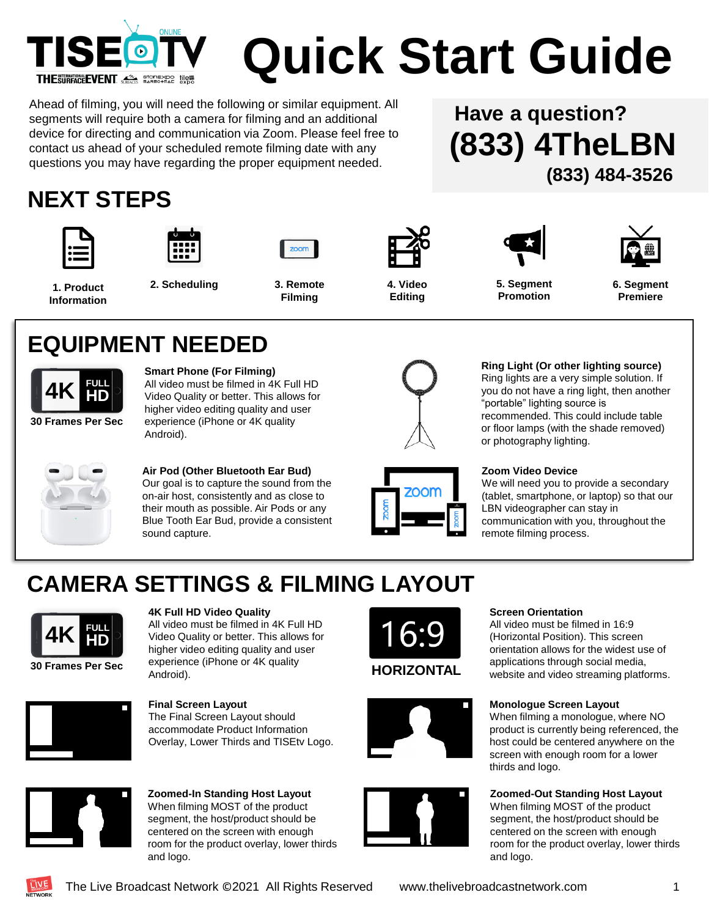

# **Quick Start Guide**

Ahead of filming, you will need the following or similar equipment. All segments will require both a camera for filming and an additional device for directing and communication via Zoom. Please feel free to contact us ahead of your scheduled remote filming date with any questions you may have regarding the proper equipment needed.

**(833) 4TheLBN Have a question? (833) 484-3526**

#### **NEXT STEPS**













**6. Segment Premiere**

**1. Product Information**

**2. Scheduling 4. Video 3. Remote Filming**

**Editing**

**5. Segment Promotion**

#### **EQUIPMENT NEEDED**



**Smart Phone (For Filming)** All video must be filmed in 4K Full HD Video Quality or better. This allows for higher video editing quality and user experience (iPhone or 4K quality Android).

**Air Pod (Other Bluetooth Ear Bud)** Our goal is to capture the sound from the on-air host, consistently and as close to their mouth as possible. Air Pods or any Blue Tooth Ear Bud, provide a consistent sound capture.



**Ring Light (Or other lighting source)** Ring lights are a very simple solution. If you do not have a ring light, then another

"portable" lighting source is recommended. This could include table or floor lamps (with the shade removed) or photography lighting.

#### **Zoom Video Device**

We will need you to provide a secondary (tablet, smartphone, or laptop) so that our LBN videographer can stay in communication with you, throughout the remote filming process.

#### **CAMERA SETTINGS & FILMING LAYOUT**



**4K Full HD Video Quality**

The Final Screen Layout should accommodate Product Information Overlay, Lower Thirds and TISEtv Logo.

**Final Screen Layout**

All video must be filmed in 4K Full HD Video Quality or better. This allows for higher video editing quality and user experience (iPhone or 4K quality Android).







#### **Screen Orientation**

All video must be filmed in 16:9 (Horizontal Position). This screen orientation allows for the widest use of **HORIZONTAL** applications through social media,<br>**HORIZONTAL** website and video streaming platforms.

#### **Monologue Screen Layout**

When filming a monologue, where NO product is currently being referenced, the host could be centered anywhere on the screen with enough room for a lower thirds and logo.

#### **Zoomed-Out Standing Host Layout**

When filming MOST of the product segment, the host/product should be centered on the screen with enough room for the product overlay, lower thirds and logo.



**Zoomed-In Standing Host Layout** When filming MOST of the product segment, the host/product should be centered on the screen with enough room for the product overlay, lower thirds and logo.

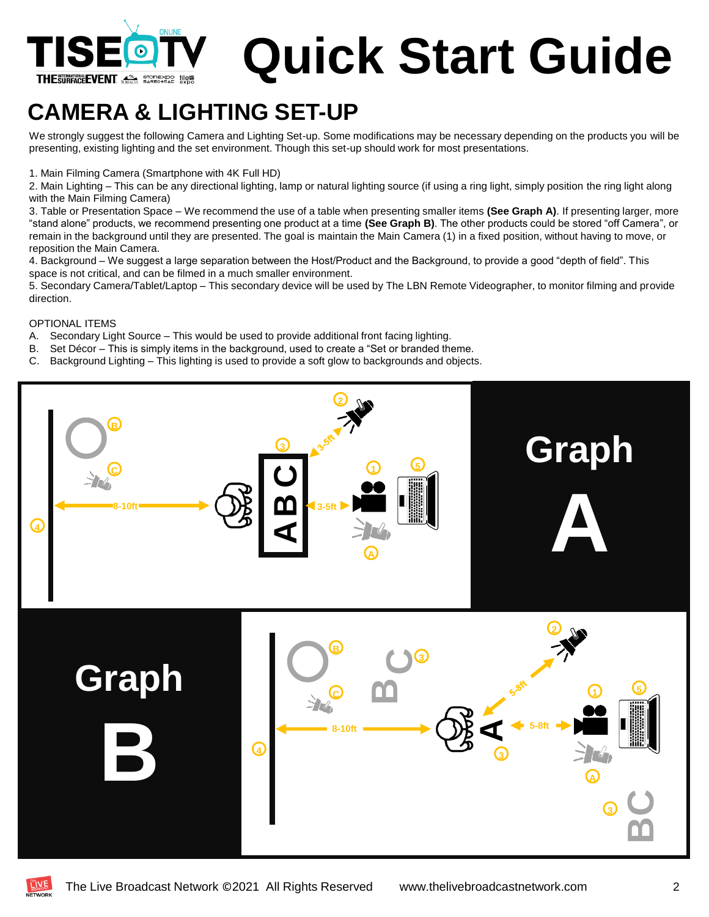

# **Quick Start Guide**

#### **CAMERA & LIGHTING SET-UP**

We strongly suggest the following Camera and Lighting Set-up. Some modifications may be necessary depending on the products you will be presenting, existing lighting and the set environment. Though this set-up should work for most presentations.

1. Main Filming Camera (Smartphone with 4K Full HD)

2. Main Lighting – This can be any directional lighting, lamp or natural lighting source (if using a ring light, simply position the ring light along with the Main Filming Camera)

3. Table or Presentation Space – We recommend the use of a table when presenting smaller items **(See Graph A)**. If presenting larger, more "stand alone" products, we recommend presenting one product at a time **(See Graph B)**. The other products could be stored "off Camera", or remain in the background until they are presented. The goal is maintain the Main Camera (1) in a fixed position, without having to move, or reposition the Main Camera.

4. Background – We suggest a large separation between the Host/Product and the Background, to provide a good "depth of field". This space is not critical, and can be filmed in a much smaller environment.

5. Secondary Camera/Tablet/Laptop – This secondary device will be used by The LBN Remote Videographer, to monitor filming and provide direction.

OPTIONAL ITEMS

- A. Secondary Light Source This would be used to provide additional front facing lighting.
- B. Set Décor This is simply items in the background, used to create a "Set or branded theme.
- C. Background Lighting This lighting is used to provide a soft glow to backgrounds and objects.



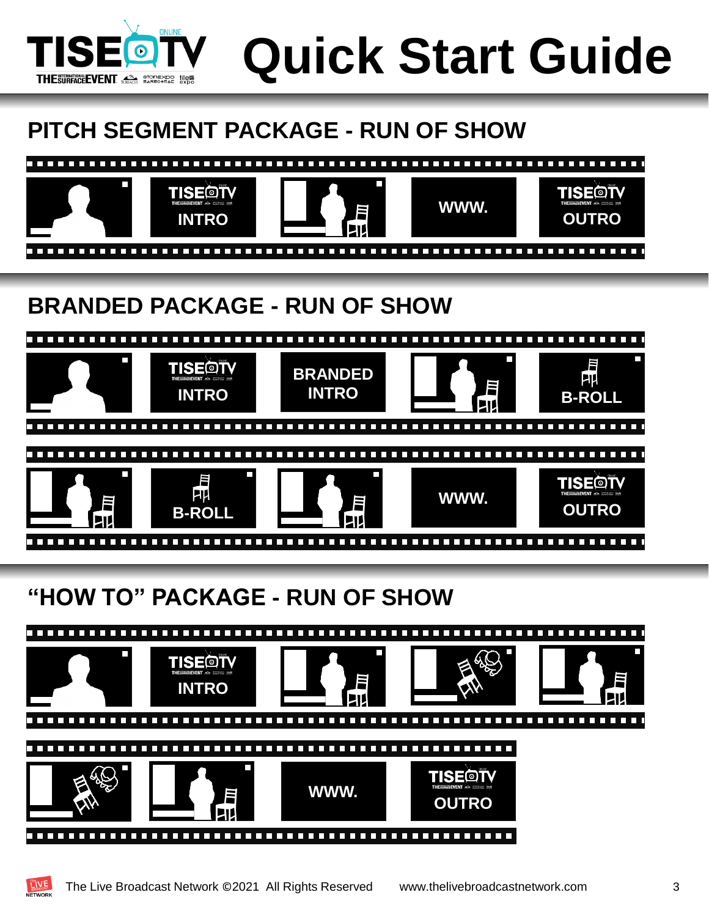

**Quick Start Guide**

#### **PITCH SEGMENT PACKAGE - RUN OF SHOW**



#### **BRANDED PACKAGE - RUN OF SHOW**



#### **"HOW TO" PACKAGE - RUN OF SHOW**



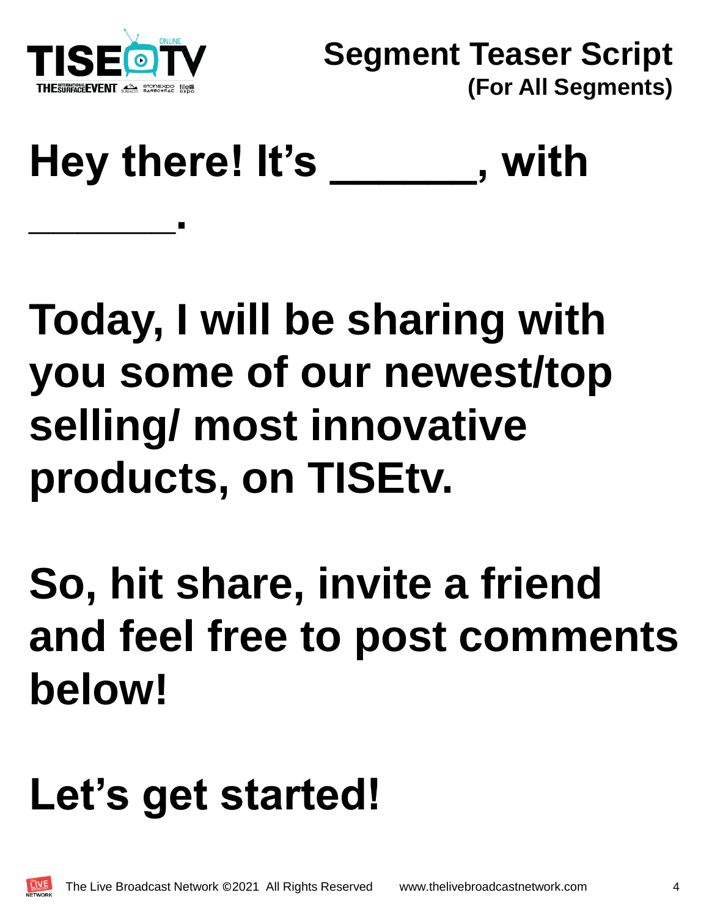

**\_\_\_\_\_\_.**

## Hey there! It's \_ The with

## **Today, I will be sharing with you some of our newest/top selling/ most innovative products, on TISEtv.**

## **So, hit share, invite a friend and feel free to post comments below!**

## **Let's get started!**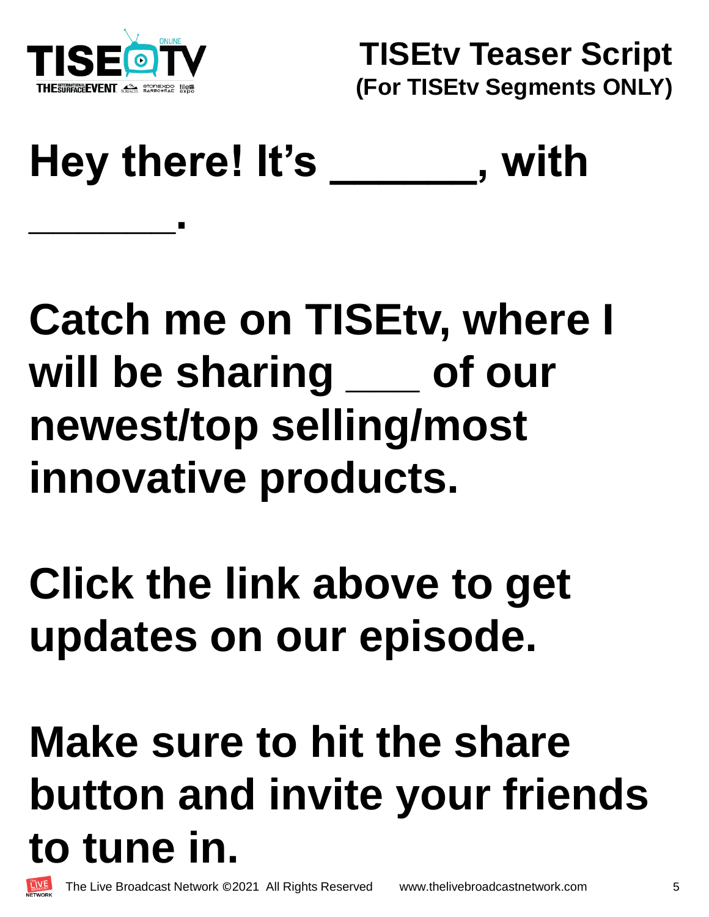

**TISEtv Teaser Script (For TISEtv Segments ONLY)**

### **Hey there! It's \_\_\_\_\_\_, with \_\_\_\_\_\_.**

### **Catch me on TISEtv, where I will be sharing \_\_\_ of our newest/top selling/most innovative products.**

### **Click the link above to get updates on our episode.**

## **Make sure to hit the share button and invite your friends to tune in.**